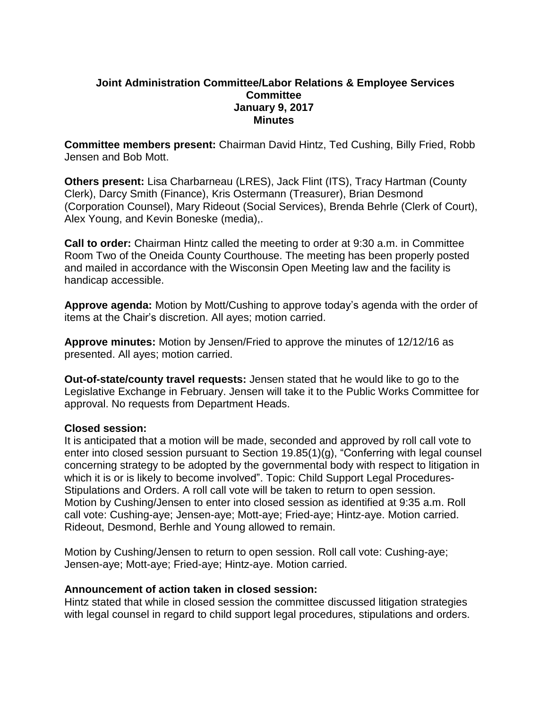## **Joint Administration Committee/Labor Relations & Employee Services Committee January 9, 2017 Minutes**

**Committee members present:** Chairman David Hintz, Ted Cushing, Billy Fried, Robb Jensen and Bob Mott.

**Others present:** Lisa Charbarneau (LRES), Jack Flint (ITS), Tracy Hartman (County Clerk), Darcy Smith (Finance), Kris Ostermann (Treasurer), Brian Desmond (Corporation Counsel), Mary Rideout (Social Services), Brenda Behrle (Clerk of Court), Alex Young, and Kevin Boneske (media),.

**Call to order:** Chairman Hintz called the meeting to order at 9:30 a.m. in Committee Room Two of the Oneida County Courthouse. The meeting has been properly posted and mailed in accordance with the Wisconsin Open Meeting law and the facility is handicap accessible.

**Approve agenda:** Motion by Mott/Cushing to approve today's agenda with the order of items at the Chair's discretion. All ayes; motion carried.

**Approve minutes:** Motion by Jensen/Fried to approve the minutes of 12/12/16 as presented. All ayes; motion carried.

**Out-of-state/county travel requests:** Jensen stated that he would like to go to the Legislative Exchange in February. Jensen will take it to the Public Works Committee for approval. No requests from Department Heads.

#### **Closed session:**

It is anticipated that a motion will be made, seconded and approved by roll call vote to enter into closed session pursuant to Section 19.85(1)(g), "Conferring with legal counsel concerning strategy to be adopted by the governmental body with respect to litigation in which it is or is likely to become involved". Topic: Child Support Legal Procedures-Stipulations and Orders. A roll call vote will be taken to return to open session. Motion by Cushing/Jensen to enter into closed session as identified at 9:35 a.m. Roll call vote: Cushing-aye; Jensen-aye; Mott-aye; Fried-aye; Hintz-aye. Motion carried. Rideout, Desmond, Berhle and Young allowed to remain.

Motion by Cushing/Jensen to return to open session. Roll call vote: Cushing-aye; Jensen-aye; Mott-aye; Fried-aye; Hintz-aye. Motion carried.

#### **Announcement of action taken in closed session:**

Hintz stated that while in closed session the committee discussed litigation strategies with legal counsel in regard to child support legal procedures, stipulations and orders.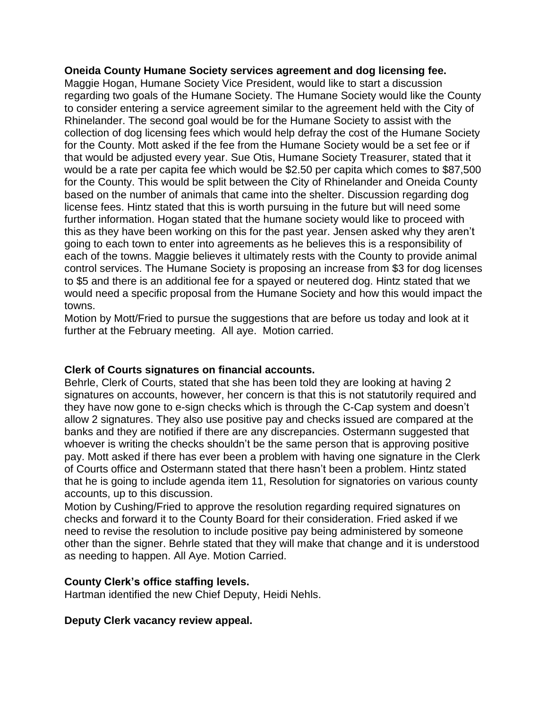#### **Oneida County Humane Society services agreement and dog licensing fee.**

Maggie Hogan, Humane Society Vice President, would like to start a discussion regarding two goals of the Humane Society. The Humane Society would like the County to consider entering a service agreement similar to the agreement held with the City of Rhinelander. The second goal would be for the Humane Society to assist with the collection of dog licensing fees which would help defray the cost of the Humane Society for the County. Mott asked if the fee from the Humane Society would be a set fee or if that would be adjusted every year. Sue Otis, Humane Society Treasurer, stated that it would be a rate per capita fee which would be \$2.50 per capita which comes to \$87,500 for the County. This would be split between the City of Rhinelander and Oneida County based on the number of animals that came into the shelter. Discussion regarding dog license fees. Hintz stated that this is worth pursuing in the future but will need some further information. Hogan stated that the humane society would like to proceed with this as they have been working on this for the past year. Jensen asked why they aren't going to each town to enter into agreements as he believes this is a responsibility of each of the towns. Maggie believes it ultimately rests with the County to provide animal control services. The Humane Society is proposing an increase from \$3 for dog licenses to \$5 and there is an additional fee for a spayed or neutered dog. Hintz stated that we would need a specific proposal from the Humane Society and how this would impact the towns.

Motion by Mott/Fried to pursue the suggestions that are before us today and look at it further at the February meeting. All aye. Motion carried.

#### **Clerk of Courts signatures on financial accounts.**

Behrle, Clerk of Courts, stated that she has been told they are looking at having 2 signatures on accounts, however, her concern is that this is not statutorily required and they have now gone to e-sign checks which is through the C-Cap system and doesn't allow 2 signatures. They also use positive pay and checks issued are compared at the banks and they are notified if there are any discrepancies. Ostermann suggested that whoever is writing the checks shouldn't be the same person that is approving positive pay. Mott asked if there has ever been a problem with having one signature in the Clerk of Courts office and Ostermann stated that there hasn't been a problem. Hintz stated that he is going to include agenda item 11, Resolution for signatories on various county accounts, up to this discussion.

Motion by Cushing/Fried to approve the resolution regarding required signatures on checks and forward it to the County Board for their consideration. Fried asked if we need to revise the resolution to include positive pay being administered by someone other than the signer. Behrle stated that they will make that change and it is understood as needing to happen. All Aye. Motion Carried.

### **County Clerk's office staffing levels.**

Hartman identified the new Chief Deputy, Heidi Nehls.

#### **Deputy Clerk vacancy review appeal.**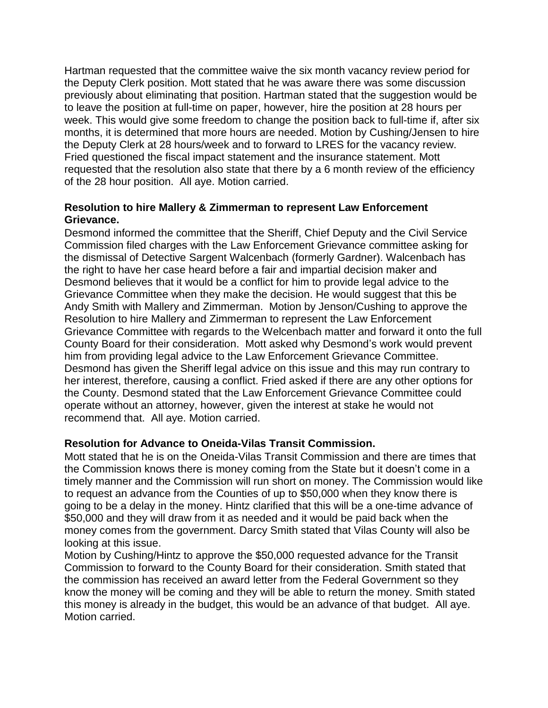Hartman requested that the committee waive the six month vacancy review period for the Deputy Clerk position. Mott stated that he was aware there was some discussion previously about eliminating that position. Hartman stated that the suggestion would be to leave the position at full-time on paper, however, hire the position at 28 hours per week. This would give some freedom to change the position back to full-time if, after six months, it is determined that more hours are needed. Motion by Cushing/Jensen to hire the Deputy Clerk at 28 hours/week and to forward to LRES for the vacancy review. Fried questioned the fiscal impact statement and the insurance statement. Mott requested that the resolution also state that there by a 6 month review of the efficiency of the 28 hour position. All aye. Motion carried.

## **Resolution to hire Mallery & Zimmerman to represent Law Enforcement Grievance.**

Desmond informed the committee that the Sheriff, Chief Deputy and the Civil Service Commission filed charges with the Law Enforcement Grievance committee asking for the dismissal of Detective Sargent Walcenbach (formerly Gardner). Walcenbach has the right to have her case heard before a fair and impartial decision maker and Desmond believes that it would be a conflict for him to provide legal advice to the Grievance Committee when they make the decision. He would suggest that this be Andy Smith with Mallery and Zimmerman. Motion by Jenson/Cushing to approve the Resolution to hire Mallery and Zimmerman to represent the Law Enforcement Grievance Committee with regards to the Welcenbach matter and forward it onto the full County Board for their consideration. Mott asked why Desmond's work would prevent him from providing legal advice to the Law Enforcement Grievance Committee. Desmond has given the Sheriff legal advice on this issue and this may run contrary to her interest, therefore, causing a conflict. Fried asked if there are any other options for the County. Desmond stated that the Law Enforcement Grievance Committee could operate without an attorney, however, given the interest at stake he would not recommend that. All aye. Motion carried.

## **Resolution for Advance to Oneida-Vilas Transit Commission.**

Mott stated that he is on the Oneida-Vilas Transit Commission and there are times that the Commission knows there is money coming from the State but it doesn't come in a timely manner and the Commission will run short on money. The Commission would like to request an advance from the Counties of up to \$50,000 when they know there is going to be a delay in the money. Hintz clarified that this will be a one-time advance of \$50,000 and they will draw from it as needed and it would be paid back when the money comes from the government. Darcy Smith stated that Vilas County will also be looking at this issue.

Motion by Cushing/Hintz to approve the \$50,000 requested advance for the Transit Commission to forward to the County Board for their consideration. Smith stated that the commission has received an award letter from the Federal Government so they know the money will be coming and they will be able to return the money. Smith stated this money is already in the budget, this would be an advance of that budget. All aye. Motion carried.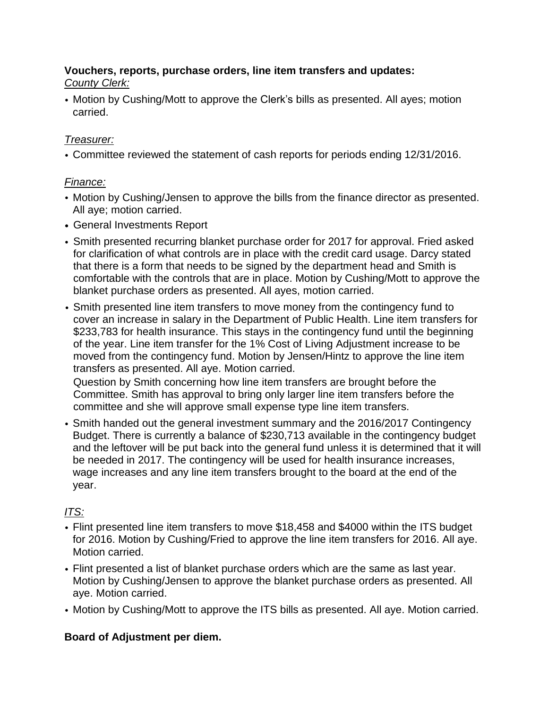## **Vouchers, reports, purchase orders, line item transfers and updates:** *County Clerk:*

• Motion by Cushing/Mott to approve the Clerk's bills as presented. All ayes; motion carried.

# *Treasurer:*

• Committee reviewed the statement of cash reports for periods ending 12/31/2016.

# *Finance:*

- Motion by Cushing/Jensen to approve the bills from the finance director as presented. All aye; motion carried.
- General Investments Report
- Smith presented recurring blanket purchase order for 2017 for approval. Fried asked for clarification of what controls are in place with the credit card usage. Darcy stated that there is a form that needs to be signed by the department head and Smith is comfortable with the controls that are in place. Motion by Cushing/Mott to approve the blanket purchase orders as presented. All ayes, motion carried.
- Smith presented line item transfers to move money from the contingency fund to cover an increase in salary in the Department of Public Health. Line item transfers for \$233,783 for health insurance. This stays in the contingency fund until the beginning of the year. Line item transfer for the 1% Cost of Living Adjustment increase to be moved from the contingency fund. Motion by Jensen/Hintz to approve the line item transfers as presented. All aye. Motion carried.

Question by Smith concerning how line item transfers are brought before the Committee. Smith has approval to bring only larger line item transfers before the committee and she will approve small expense type line item transfers.

• Smith handed out the general investment summary and the 2016/2017 Contingency Budget. There is currently a balance of \$230,713 available in the contingency budget and the leftover will be put back into the general fund unless it is determined that it will be needed in 2017. The contingency will be used for health insurance increases, wage increases and any line item transfers brought to the board at the end of the year.

# *ITS:*

- Flint presented line item transfers to move \$18,458 and \$4000 within the ITS budget for 2016. Motion by Cushing/Fried to approve the line item transfers for 2016. All aye. Motion carried.
- Flint presented a list of blanket purchase orders which are the same as last year. Motion by Cushing/Jensen to approve the blanket purchase orders as presented. All aye. Motion carried.
- Motion by Cushing/Mott to approve the ITS bills as presented. All aye. Motion carried.

# **Board of Adjustment per diem.**